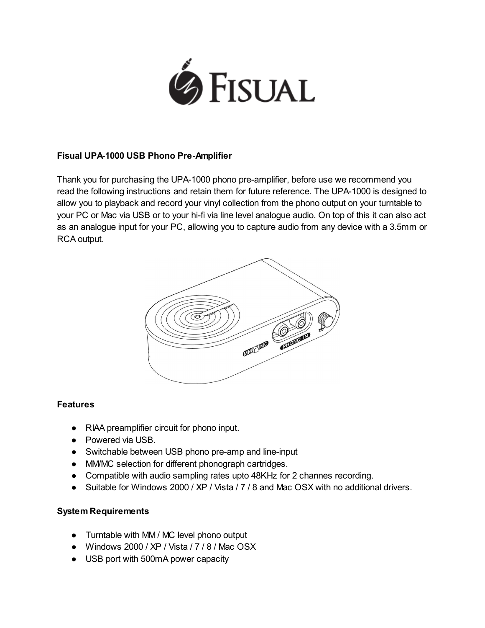

#### Fisual UPA-1000 USB Phono Pre-Amplifier

Thank you for purchasing the UPA-1000 phono pre-amplifier, before use we recommend you read the following instructions and retain them for future reference. The UPA-1000 is designed to allow you to playback and record your vinyl collection from the phono output on your turntable to your PC or Mac via USB or to your hi-fi via line level analogue audio. On top of this it can also act as an analogue input for your PC, allowing you to capture audio from any device with a 3.5mm or RCA output.



### **Features**

- RIAA preamplifier circuit for phono input.
- Powered via USB.
- Switchable between USB phono pre-amp and line-input
- MM/MC selection for different phonograph cartridges.
- Compatible with audio sampling rates upto 48KHz for 2 channes recording.
- Suitable for Windows 2000 / XP / Vista / 7 / 8 and Mac OSX with no additional drivers.

#### System Requirements

- Turntable with MM / MC level phono output
- Windows 2000 / XP / Vista / 7 / 8 / Mac OSX
- USB port with 500mA power capacity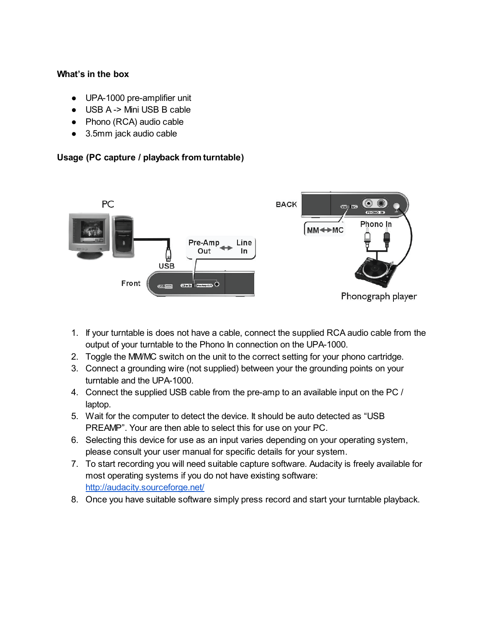#### What's in the box

- UPA-1000 pre-amplifier unit
- USB A -> Mini USB B cable
- Phono (RCA) audio cable
- 3.5mm jack audio cable

### Usage (PC capture / playback from turntable)



- 1. If your turntable is does not have a cable, connect the supplied RCA audio cable from the output of your turntable to the Phono In connection on the UPA-1000.
- 2. Toggle the MM/MC switch on the unit to the correct setting for your phono cartridge.
- 3. Connect a grounding wire (not supplied) between your the grounding points on your turntable and the UPA-1000.
- 4. Connect the supplied USB cable from the pre-amp to an available input on the PC / laptop.
- 5. Wait for the computer to detect the device. It should be auto detected as "USB PREAMP". Your are then able to select this for use on your PC.
- 6. Selecting this device for use as an input varies depending on your operating system, please consult your user manual for specific details for your system.
- 7. To start recording you will need suitable capture software. Audacity is freely available for most operating systems if you do not have existing software: [http://audacity.sourceforge.net/](http://www.google.com/url?q=http%3A%2F%2Faudacity.sourceforge.net%2F&sa=D&sntz=1&usg=AFQjCNHghnsJKqtYX5N2GA-UIfaBtUv-Jg)
- 8. Once you have suitable software simply press record and start your turntable playback.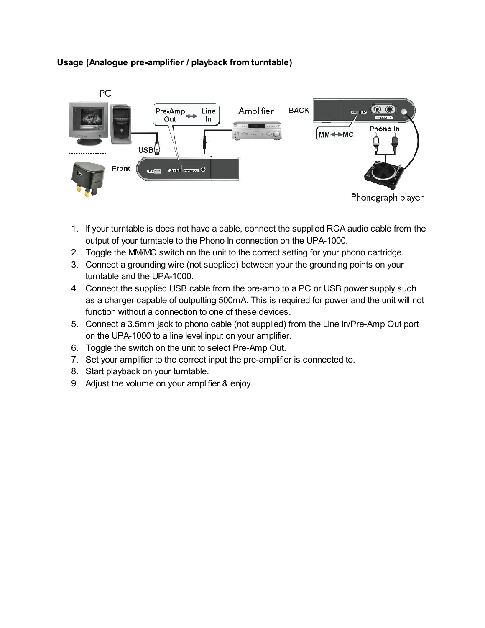

## Usage (Analogue pre-amplifier / playback from turntable)

- 1. If your turntable is does not have a cable, connect the supplied RCA audio cable from the output of your turntable to the Phono In connection on the UPA-1000.
- 2. Toggle the MM/MC switch on the unit to the correct setting for your phono cartridge.
- 3. Connect a grounding wire (not supplied) between your the grounding points on your turntable and the UPA-1000.
- 4. Connect the supplied USB cable from the pre-amp to a PC or USB power supply such as a charger capable of outputting 500mA. This is required for power and the unit will not function without a connection to one of these devices.
- 5. Connect a 3.5mm jack to phono cable (not supplied) from the Line In/Pre-Amp Out port on the UPA-1000 to a line level input on your amplifier.
- 6. Toggle the switch on the unit to select Pre-Amp Out.
- 7. Set your amplifier to the correct input the pre-amplifier is connected to.
- 8. Start playback on your turntable.
- 9. Adjust the volume on your amplifier & enjoy.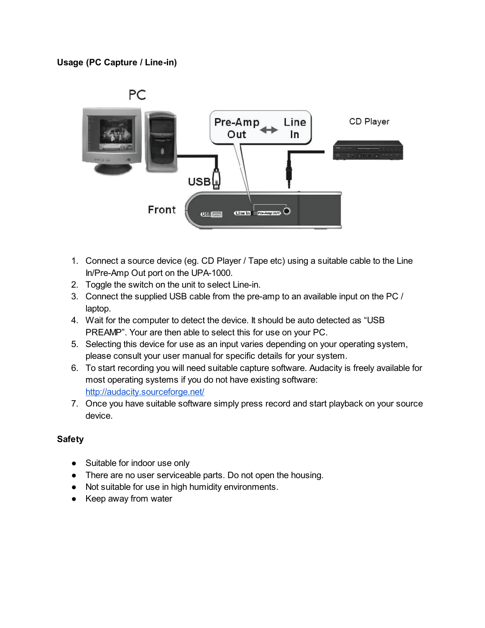### Usage (PC Capture / Line-in)



- 1. Connect a source device (eg. CD Player / Tape etc) using a suitable cable to the Line In/Pre-Amp Out port on the UPA-1000.
- 2. Toggle the switch on the unit to select Line-in.
- 3. Connect the supplied USB cable from the pre-amp to an available input on the PC / laptop.
- 4. Wait for the computer to detect the device. It should be auto detected as "USB PREAMP". Your are then able to select this for use on your PC.
- 5. Selecting this device for use as an input varies depending on your operating system, please consult your user manual for specific details for your system.
- 6. To start recording you will need suitable capture software. Audacity is freely available for most operating systems if you do not have existing software: [http://audacity.sourceforge.net/](http://www.google.com/url?q=http%3A%2F%2Faudacity.sourceforge.net%2F&sa=D&sntz=1&usg=AFQjCNHghnsJKqtYX5N2GA-UIfaBtUv-Jg)
- 7. Once you have suitable software simply press record and start playback on your source device.

### Safety

- Suitable for indoor use only
- There are no user serviceable parts. Do not open the housing.
- Not suitable for use in high humidity environments.
- Keep away from water